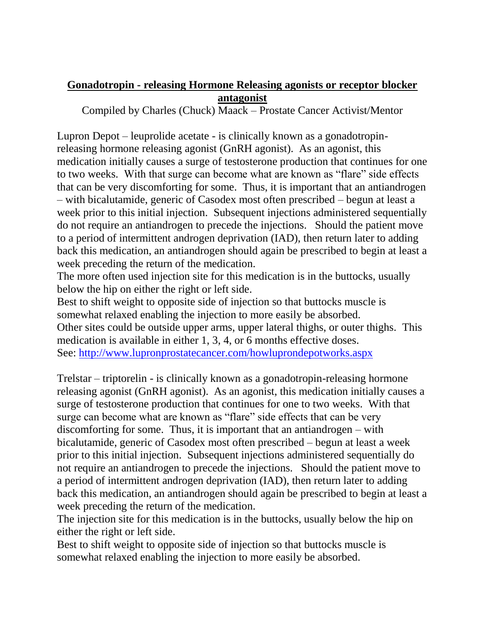## **Gonadotropin - releasing Hormone Releasing agonists or receptor blocker antagonist**

Compiled by Charles (Chuck) Maack – Prostate Cancer Activist/Mentor

Lupron Depot – leuprolide acetate - is clinically known as a gonadotropinreleasing hormone releasing agonist (GnRH agonist). As an agonist, this medication initially causes a surge of testosterone production that continues for one to two weeks. With that surge can become what are known as "flare" side effects that can be very discomforting for some. Thus, it is important that an antiandrogen – with bicalutamide, generic of Casodex most often prescribed – begun at least a week prior to this initial injection. Subsequent injections administered sequentially do not require an antiandrogen to precede the injections. Should the patient move to a period of intermittent androgen deprivation (IAD), then return later to adding back this medication, an antiandrogen should again be prescribed to begin at least a week preceding the return of the medication.

The more often used injection site for this medication is in the buttocks, usually below the hip on either the right or left side.

Best to shift weight to opposite side of injection so that buttocks muscle is somewhat relaxed enabling the injection to more easily be absorbed. Other sites could be outside upper arms, upper lateral thighs, or outer thighs. This medication is available in either 1, 3, 4, or 6 months effective doses. See:<http://www.lupronprostatecancer.com/howluprondepotworks.aspx>

Trelstar – triptorelin - is clinically known as a gonadotropin-releasing hormone releasing agonist (GnRH agonist). As an agonist, this medication initially causes a surge of testosterone production that continues for one to two weeks. With that surge can become what are known as "flare" side effects that can be very discomforting for some. Thus, it is important that an antiandrogen – with bicalutamide, generic of Casodex most often prescribed – begun at least a week prior to this initial injection. Subsequent injections administered sequentially do not require an antiandrogen to precede the injections. Should the patient move to a period of intermittent androgen deprivation (IAD), then return later to adding back this medication, an antiandrogen should again be prescribed to begin at least a week preceding the return of the medication.

The injection site for this medication is in the buttocks, usually below the hip on either the right or left side.

Best to shift weight to opposite side of injection so that buttocks muscle is somewhat relaxed enabling the injection to more easily be absorbed.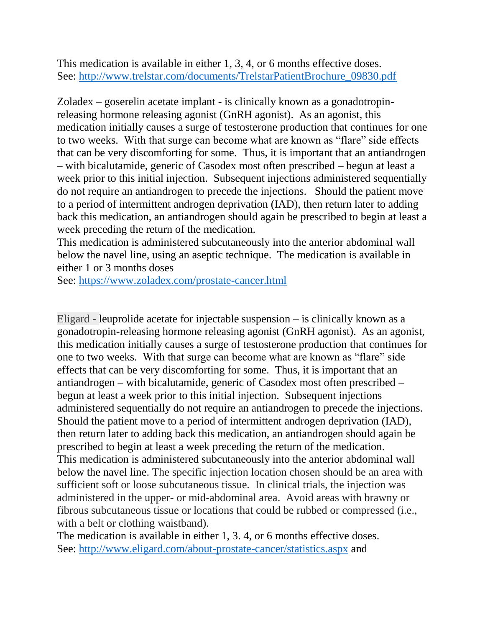This medication is available in either 1, 3, 4, or 6 months effective doses. See: [http://www.trelstar.com/documents/TrelstarPatientBrochure\\_09830.pdf](http://www.trelstar.com/documents/TrelstarPatientBrochure_09830.pdf)

Zoladex – goserelin acetate implant - is clinically known as a gonadotropinreleasing hormone releasing agonist (GnRH agonist). As an agonist, this medication initially causes a surge of testosterone production that continues for one to two weeks. With that surge can become what are known as "flare" side effects that can be very discomforting for some. Thus, it is important that an antiandrogen – with bicalutamide, generic of Casodex most often prescribed – begun at least a week prior to this initial injection. Subsequent injections administered sequentially do not require an antiandrogen to precede the injections. Should the patient move to a period of intermittent androgen deprivation (IAD), then return later to adding back this medication, an antiandrogen should again be prescribed to begin at least a week preceding the return of the medication.

This medication is administered subcutaneously into the anterior abdominal wall below the navel line, using an aseptic technique. The medication is available in either 1 or 3 months doses

See:<https://www.zoladex.com/prostate-cancer.html>

Eligard - leuprolide acetate for injectable suspension – is clinically known as a gonadotropin-releasing hormone releasing agonist (GnRH agonist). As an agonist, this medication initially causes a surge of testosterone production that continues for one to two weeks. With that surge can become what are known as "flare" side effects that can be very discomforting for some. Thus, it is important that an antiandrogen – with bicalutamide, generic of Casodex most often prescribed – begun at least a week prior to this initial injection. Subsequent injections administered sequentially do not require an antiandrogen to precede the injections. Should the patient move to a period of intermittent androgen deprivation (IAD), then return later to adding back this medication, an antiandrogen should again be prescribed to begin at least a week preceding the return of the medication. This medication is administered subcutaneously into the anterior abdominal wall below the navel line. The specific injection location chosen should be an area with sufficient soft or loose subcutaneous tissue. In clinical trials, the injection was administered in the upper- or mid-abdominal area. Avoid areas with brawny or fibrous subcutaneous tissue or locations that could be rubbed or compressed (i.e., with a belt or clothing waistband).

The medication is available in either 1, 3. 4, or 6 months effective doses. See:<http://www.eligard.com/about-prostate-cancer/statistics.aspx> and